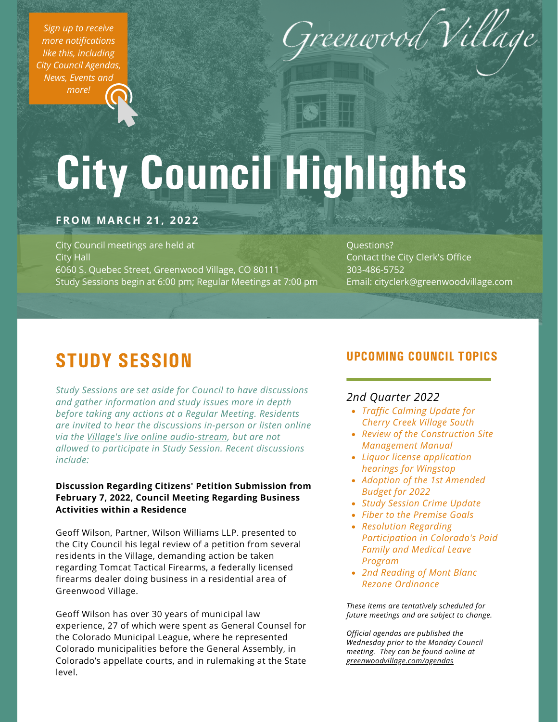*Sign up to receive more [notifications](https://www.greenwoodvillage.com/list.aspx) like this, including City Council Agendas, News, Events and more!*



# City Council Highlights

# **FROM MARCH 2 1 , 2 0 2 2**

City Council meetings are held at City Hall 6060 S. Quebec Street, Greenwood Village, CO 80111 Study Sessions begin at 6:00 pm; Regular Meetings at 7:00 pm

Questions? Contact the City Clerk's Office 303-486-5752 Email: cityclerk@greenwoodvillage.com

# STUDY SESSION

*Study Sessions are set aside for Council to have discussions and gather information and study issues more in depth before taking any actions at a Regular Meeting. Residents are invited to hear the discussions in-person or listen online via the Village's live online [audio-stream](https://greenwoodvillage.com/2390/Agendas-Minutes-Webcasts), but are not allowed to participate in Study Session. Recent discussions include:*

**Discussion Regarding Citizens' Petition Submission from February 7, 2022, Council Meeting Regarding Business Activities within a Residence**

Geoff Wilson, Partner, Wilson Williams LLP. presented to the City Council his legal review of a petition from several residents in the Village, demanding action be taken regarding Tomcat Tactical Firearms, a federally licensed firearms dealer doing business in a residential area of Greenwood Village.

Geoff Wilson has over 30 years of municipal law experience, 27 of which were spent as General Counsel for the Colorado Municipal League, where he represented Colorado municipalities before the General Assembly, in Colorado's appellate courts, and in rulemaking at the State level.

# UPCOMING COUNCIL TOPICS

# *2nd Quarter 2022*

- *Traffic Calming Update for Cherry Creek Village South*
- *Review of the Construction Site Management Manual*
- *Liquor license application hearings for Wingstop*
- *Adoption of the 1st Amended Budget for 2022*
- *Study Session Crime Update*
- *Fiber to the Premise Goals*
- *Resolution Regarding Participation in Colorado's Paid Family and Medical Leave Program*
- *2nd Reading of Mont Blanc Rezone Ordinance*

*These items are tentatively scheduled for future meetings and are subject to change.*

*Official agendas are published the Wednesday prior to the Monday Council meeting. They can be found online at [greenwoodvillage.com/agendas](http://greenwoodvillage.com/agendas)*